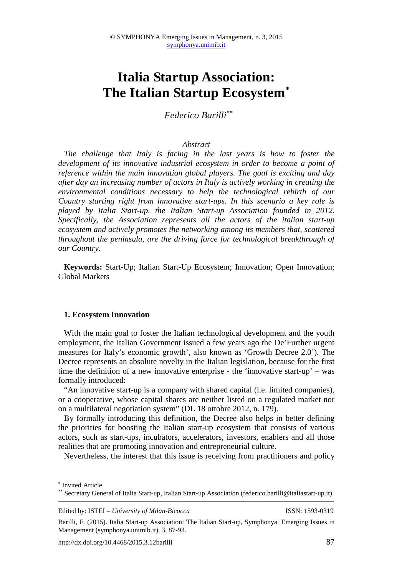# **Italia Startup Association: The Italian Startup Ecosystem\***

*Federico Barilli\*\** 

### *Abstract*

*The challenge that Italy is facing in the last years is how to foster the development of its innovative industrial ecosystem in order to become a point of reference within the main innovation global players. The goal is exciting and day after day an increasing number of actors in Italy is actively working in creating the environmental conditions necessary to help the technological rebirth of our Country starting right from innovative start-ups. In this scenario a key role is played by Italia Start-up, the Italian Start-up Association founded in 2012. Specifically, the Association represents all the actors of the italian start-up ecosystem and actively promotes the networking among its members that, scattered throughout the peninsula, are the driving force for technological breakthrough of our Country.* 

**Keywords:** Start-Up; Italian Start-Up Ecosystem; Innovation; Open Innovation; Global Markets

#### **1. Ecosystem Innovation**

With the main goal to foster the Italian technological development and the youth employment, the Italian Government issued a few years ago the De'Further urgent measures for Italy's economic growth', also known as 'Growth Decree 2.0'). The Decree represents an absolute novelty in the Italian legislation, because for the first time the definition of a new innovative enterprise - the 'innovative start-up' – was formally introduced:

"An innovative start-up is a company with shared capital (i.e. limited companies), or a cooperative, whose capital shares are neither listed on a regulated market nor on a multilateral negotiation system" (DL 18 ottobre 2012, n. 179).

By formally introducing this definition, the Decree also helps in better defining the priorities for boosting the Italian start-up ecosystem that consists of various actors, such as start-ups, incubators, accelerators, investors, enablers and all those realities that are promoting innovation and entrepreneurial culture.

Nevertheless, the interest that this issue is receiving from practitioners and policy

 $\overline{a}$ 

<sup>\*</sup> Invited Article

<sup>\*\*</sup> Secretary General of Italia Start-up, Italian Start-up Association (federico.barilli@italiastart-up.it)

Edited by: ISTEI – *University of Milan-Bicocca* ISSN: 1593-0319

Barilli, F. (2015). Italia Start-up Association: The Italian Start-up, Symphonya. Emerging Issues in Management (symphonya.unimib.it), 3, 87-93.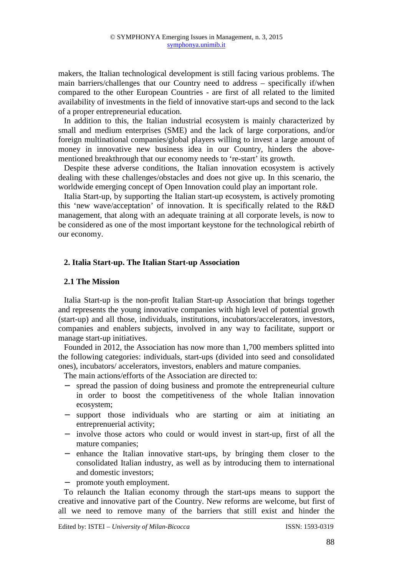makers, the Italian technological development is still facing various problems. The main barriers/challenges that our Country need to address – specifically if/when compared to the other European Countries - are first of all related to the limited availability of investments in the field of innovative start-ups and second to the lack of a proper entrepreneurial education.

In addition to this, the Italian industrial ecosystem is mainly characterized by small and medium enterprises (SME) and the lack of large corporations, and/or foreign multinational companies/global players willing to invest a large amount of money in innovative new business idea in our Country, hinders the abovementioned breakthrough that our economy needs to 're-start' its growth.

Despite these adverse conditions, the Italian innovation ecosystem is actively dealing with these challenges/obstacles and does not give up. In this scenario, the worldwide emerging concept of Open Innovation could play an important role.

Italia Start-up, by supporting the Italian start-up ecosystem, is actively promoting this 'new wave/acceptation' of innovation. It is specifically related to the R&D management, that along with an adequate training at all corporate levels, is now to be considered as one of the most important keystone for the technological rebirth of our economy.

## **2. Italia Start-up. The Italian Start-up Association**

### **2.1 The Mission**

Italia Start-up is the non-profit Italian Start-up Association that brings together and represents the young innovative companies with high level of potential growth (start-up) and all those, individuals, institutions, incubators/accelerators, investors, companies and enablers subjects, involved in any way to facilitate, support or manage start-up initiatives.

Founded in 2012, the Association has now more than 1,700 members splitted into the following categories: individuals, start-ups (divided into seed and consolidated ones), incubators/ accelerators, investors, enablers and mature companies.

The main actions/efforts of the Association are directed to:

- − spread the passion of doing business and promote the entrepreneurial culture in order to boost the competitiveness of the whole Italian innovation ecosystem;
- − support those individuals who are starting or aim at initiating an entreprenuerial activity;
- − involve those actors who could or would invest in start-up, first of all the mature companies;
- − enhance the Italian innovative start-ups, by bringing them closer to the consolidated Italian industry, as well as by introducing them to international and domestic investors;
- − promote youth employment.

To relaunch the Italian economy through the start-ups means to support the creative and innovative part of the Country. New reforms are welcome, but first of all we need to remove many of the barriers that still exist and hinder the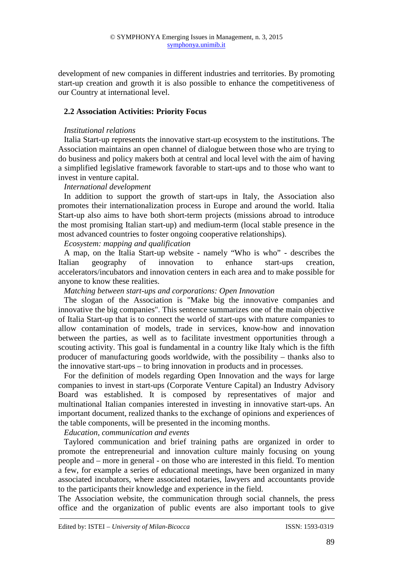development of new companies in different industries and territories. By promoting start-up creation and growth it is also possible to enhance the competitiveness of our Country at international level.

# **2.2 Association Activities: Priority Focus**

## *Institutional relations*

Italia Start-up represents the innovative start-up ecosystem to the institutions. The Association maintains an open channel of dialogue between those who are trying to do business and policy makers both at central and local level with the aim of having a simplified legislative framework favorable to start-ups and to those who want to invest in venture capital.

# *International development*

In addition to support the growth of start-ups in Italy, the Association also promotes their internationalization process in Europe and around the world. Italia Start-up also aims to have both short-term projects (missions abroad to introduce the most promising Italian start-up) and medium-term (local stable presence in the most advanced countries to foster ongoing cooperative relationships).

# *Ecosystem: mapping and qualification*

A map, on the Italia Start-up website - namely "Who is who" - describes the Italian geography of innovation to enhance start-ups creation, accelerators/incubators and innovation centers in each area and to make possible for anyone to know these realities.

## *Matching between start-ups and corporations: Open Innovation*

The slogan of the Association is "Make big the innovative companies and innovative the big companies". This sentence summarizes one of the main objective of Italia Start-up that is to connect the world of start-ups with mature companies to allow contamination of models, trade in services, know-how and innovation between the parties, as well as to facilitate investment opportunities through a scouting activity. This goal is fundamental in a country like Italy which is the fifth producer of manufacturing goods worldwide, with the possibility – thanks also to the innovative start-ups – to bring innovation in products and in processes.

For the definition of models regarding Open Innovation and the ways for large companies to invest in start-ups (Corporate Venture Capital) an Industry Advisory Board was established. It is composed by representatives of major and multinational Italian companies interested in investing in innovative start-ups. An important document, realized thanks to the exchange of opinions and experiences of the table components, will be presented in the incoming months.

# *Education, communication and events*

Taylored communication and brief training paths are organized in order to promote the entrepreneurial and innovation culture mainly focusing on young people and – more in general - on those who are interested in this field. To mention a few, for example a series of educational meetings, have been organized in many associated incubators, where associated notaries, lawyers and accountants provide to the participants their knowledge and experience in the field.

The Association website, the communication through social channels, the press office and the organization of public events are also important tools to give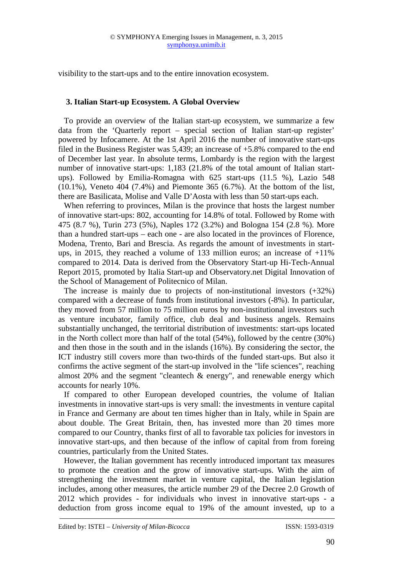visibility to the start-ups and to the entire innovation ecosystem.

### **3. Italian Start-up Ecosystem. A Global Overview**

To provide an overview of the Italian start-up ecosystem, we summarize a few data from the 'Quarterly report – special section of Italian start-up register' powered by Infocamere. At the 1st April 2016 the number of innovative start-ups filed in the Business Register was 5,439; an increase of +5.8% compared to the end of December last year. In absolute terms, Lombardy is the region with the largest number of innovative start-ups: 1,183 (21.8% of the total amount of Italian startups). Followed by Emilia-Romagna with 625 start-ups (11.5 %), Lazio 548 (10.1%), Veneto 404 (7.4%) and Piemonte 365 (6.7%). At the bottom of the list, there are Basilicata, Molise and Valle D'Aosta with less than 50 start-ups each.

When referring to provinces, Milan is the province that hosts the largest number of innovative start-ups: 802, accounting for 14.8% of total. Followed by Rome with 475 (8.7 %), Turin 273 (5%), Naples 172 (3.2%) and Bologna 154 (2.8 %). More than a hundred start-ups – each one - are also located in the provinces of Florence, Modena, Trento, Bari and Brescia. As regards the amount of investments in startups, in 2015, they reached a volume of 133 million euros; an increase of  $+11\%$ compared to 2014. Data is derived from the Observatory Start-up Hi-Tech-Annual Report 2015, promoted by Italia Start-up and Observatory.net Digital Innovation of the School of Management of Politecnico of Milan.

The increase is mainly due to projects of non-institutional investors  $(+32%)$ compared with a decrease of funds from institutional investors (-8%). In particular, they moved from 57 million to 75 million euros by non-institutional investors such as venture incubator, family office, club deal and business angels. Remains substantially unchanged, the territorial distribution of investments: start-ups located in the North collect more than half of the total (54%), followed by the centre (30%) and then those in the south and in the islands (16%). By considering the sector, the ICT industry still covers more than two-thirds of the funded start-ups. But also it confirms the active segment of the start-up involved in the "life sciences", reaching almost 20% and the segment "cleantech & energy", and renewable energy which accounts for nearly 10%.

If compared to other European developed countries, the volume of Italian investments in innovative start-ups is very small: the investments in venture capital in France and Germany are about ten times higher than in Italy, while in Spain are about double. The Great Britain, then, has invested more than 20 times more compared to our Country, thanks first of all to favorable tax policies for investors in innovative start-ups, and then because of the inflow of capital from from foreing countries, particularly from the United States.

However, the Italian government has recently introduced important tax measures to promote the creation and the grow of innovative start-ups. With the aim of strengthening the investment market in venture capital, the Italian legislation includes, among other measures, the article number 29 of the Decree 2.0 Growth of 2012 which provides - for individuals who invest in innovative start-ups - a deduction from gross income equal to 19% of the amount invested, up to a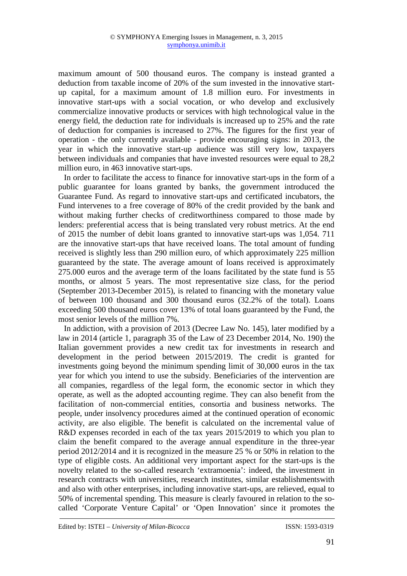maximum amount of 500 thousand euros. The company is instead granted a deduction from taxable income of 20% of the sum invested in the innovative startup capital, for a maximum amount of 1.8 million euro. For investments in innovative start-ups with a social vocation, or who develop and exclusively commercialize innovative products or services with high technological value in the energy field, the deduction rate for individuals is increased up to 25% and the rate of deduction for companies is increased to 27%. The figures for the first year of operation - the only currently available - provide encouraging signs: in 2013, the year in which the innovative start-up audience was still very low, taxpayers between individuals and companies that have invested resources were equal to 28,2 million euro, in 463 innovative start-ups.

In order to facilitate the access to finance for innovative start-ups in the form of a public guarantee for loans granted by banks, the government introduced the Guarantee Fund. As regard to innovative start-ups and certificated incubators, the Fund intervenes to a free coverage of 80% of the credit provided by the bank and without making further checks of creditworthiness compared to those made by lenders: preferential access that is being translated very robust metrics. At the end of 2015 the number of debit loans granted to innovative start-ups was 1,054. 711 are the innovative start-ups that have received loans. The total amount of funding received is slightly less than 290 million euro, of which approximately 225 million guaranteed by the state. The average amount of loans received is approximately 275.000 euros and the average term of the loans facilitated by the state fund is 55 months, or almost 5 years. The most representative size class, for the period (September 2013-December 2015), is related to financing with the monetary value of between 100 thousand and 300 thousand euros (32.2% of the total). Loans exceeding 500 thousand euros cover 13% of total loans guaranteed by the Fund, the most senior levels of the million 7%.

In addiction, with a provision of 2013 (Decree Law No. 145), later modified by a law in 2014 (article 1, paragraph 35 of the Law of 23 December 2014, No. 190) the Italian government provides a new credit tax for investments in research and development in the period between 2015/2019. The credit is granted for investments going beyond the minimum spending limit of 30,000 euros in the tax year for which you intend to use the subsidy. Beneficiaries of the intervention are all companies, regardless of the legal form, the economic sector in which they operate, as well as the adopted accounting regime. They can also benefit from the facilitation of non-commercial entities, consortia and business networks. The people, under insolvency procedures aimed at the continued operation of economic activity, are also eligible. The benefit is calculated on the incremental value of R&D expenses recorded in each of the tax years 2015/2019 to which you plan to claim the benefit compared to the average annual expenditure in the three-year period 2012/2014 and it is recognized in the measure 25 % or 50% in relation to the type of eligible costs. An additional very important aspect for the start-ups is the novelty related to the so-called research 'extramoenia': indeed, the investment in research contracts with universities, research institutes, similar establishmentswith and also with other enterprises, including innovative start-ups, are relieved, equal to 50% of incremental spending. This measure is clearly favoured in relation to the socalled 'Corporate Venture Capital' or 'Open Innovation' since it promotes the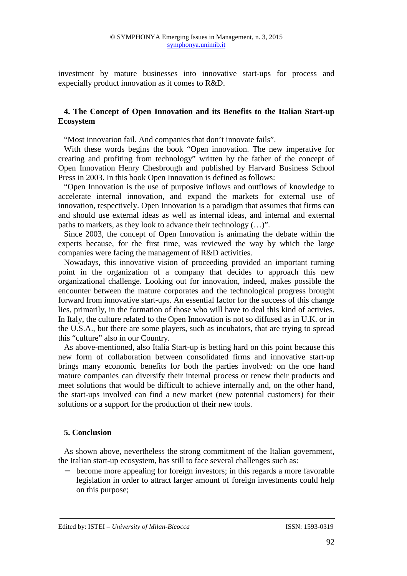investment by mature businesses into innovative start-ups for process and expecially product innovation as it comes to R&D.

## **4. The Concept of Open Innovation and its Benefits to the Italian Start-up Ecosystem**

"Most innovation fail. And companies that don't innovate fails".

With these words begins the book "Open innovation. The new imperative for creating and profiting from technology" written by the father of the concept of Open Innovation Henry Chesbrough and published by Harvard Business School Press in 2003. In this book Open Innovation is defined as follows:

"Open Innovation is the use of purposive inflows and outflows of knowledge to accelerate internal innovation, and expand the markets for external use of innovation, respectively. Open Innovation is a paradigm that assumes that firms can and should use external ideas as well as internal ideas, and internal and external paths to markets, as they look to advance their technology (…)".

Since 2003, the concept of Open Innovation is animating the debate within the experts because, for the first time, was reviewed the way by which the large companies were facing the management of R&D activities.

Nowadays, this innovative vision of proceeding provided an important turning point in the organization of a company that decides to approach this new organizational challenge. Looking out for innovation, indeed, makes possible the encounter between the mature corporates and the technological progress brought forward from innovative start-ups. An essential factor for the success of this change lies, primarily, in the formation of those who will have to deal this kind of activies. In Italy, the culture related to the Open Innovation is not so diffused as in U.K. or in the U.S.A., but there are some players, such as incubators, that are trying to spread this "culture" also in our Country.

As above-mentioned, also Italia Start-up is betting hard on this point because this new form of collaboration between consolidated firms and innovative start-up brings many economic benefits for both the parties involved: on the one hand mature companies can diversify their internal process or renew their products and meet solutions that would be difficult to achieve internally and, on the other hand, the start-ups involved can find a new market (new potential customers) for their solutions or a support for the production of their new tools.

## **5. Conclusion**

As shown above, nevertheless the strong commitment of the Italian government, the Italian start-up ecosystem, has still to face several challenges such as:

− become more appealing for foreign investors; in this regards a more favorable legislation in order to attract larger amount of foreign investments could help on this purpose;